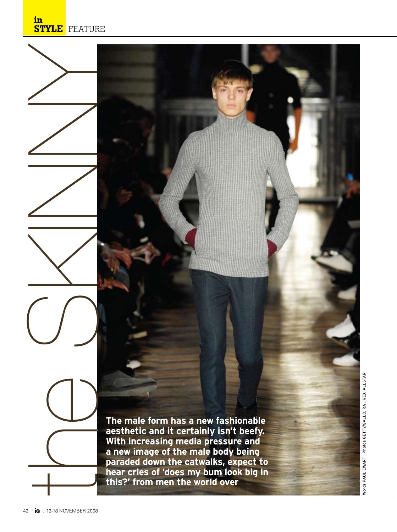**The male form has a new fashionable aesthetic and it certainly isn't beefy. With increasing media pressure and a new image of the male body being paraded down the catwalks, expect to hear cries of 'does my bum look big in this?' from men the world over**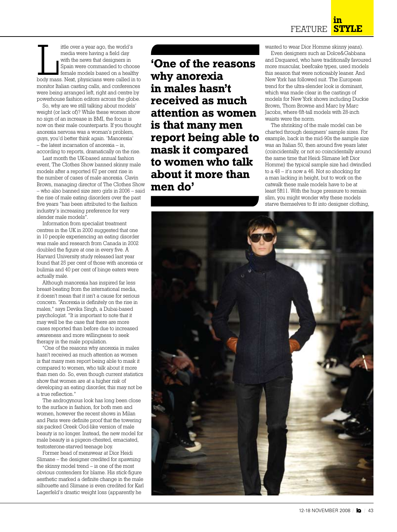ittle over a year ago, the world's<br>media were having a field day<br>with the news that designers in<br>Spain were commanded to choose<br>female models based on a healthy<br>body mass. Next, physicians were called in to ittle over a year ago, the world's media were having a field day with the news that designers in Spain were commanded to choose female models based on a healthy monitor Italian casting calls, and conferences were being arranged left, right and centre by powerhouse fashion editors across the globe.

So, why are we still talking about models' weight (or lack of)? While these women show no sign of an increase in BMI, the focus is now on their male counterparts. If you thought anorexia nervosa was a woman's problem, guys, you'd better think again. 'Manorexia' – the latest incarnation of anorexia – is, according to reports, dramatically on the rise.

Last month the UK-based annual fashion event, The Clothes Show banned skinny male models after a reported 67 per cent rise in the number of cases of male anorexia. Gavin Brown, managing director of The Clothes Show – who also banned size zero girls in 2006 – said the rise of male eating disorders over the past five years "has been attributed to the fashion industry's increasing preference for very slender male models".

Information from specialist treatment centres in the UK in 2000 suggested that one in 10 people experiencing an eating disorder was male and research from Canada in 2002 doubled the figure at one in every five. A Harvard University study released last year found that 25 per cent of those with anorexia or bulimia and 40 per cent of binge eaters were actually male.

Although manorexia has inspired far less breast-beating from the international media, it doesn't mean that it isn't a cause for serious concern. "Anorexia is definitely on the rise in males," says Devika Singh, a Dubai-based psychologist. "It is important to note that it may well be the case that there are more cases reported than before due to increased awareness and more willingness to seek therapy in the male population.

"One of the reasons why anorexia in males hasn't received as much attention as women is that many men report being able to mask it compared to women, who talk about it more than men do. So, even though current statistics show that women are at a higher risk of developing an eating disorder, this may not be a true reflection."

The androgynous look has long been close to the surface in fashion, for both men and women, however the recent shows in Milan and Paris were definite proof that the towering six-packed Greek God-like version of male beauty is no longer. Instead, the new model for male beauty is a pigeon-chested, emaciated, testosterone-starved teenage boy.

Former head of menswear at Dior Heidi Slimane – the designer credited for spawning the skinny model trend – is one of the most obvious contenders for blame. His stick-figure aesthetic marked a definite change in the male silhouette and Slimane is even credited for Karl Lagerfeld's drastic weight loss (apparently he

**'One of the reasons why anorexia in males hasn't received as much attention as women is that many men report being able to mask it compared to women who talk about it more than men do'**

wanted to wear Dior Homme skinny jeans).

Even designers such as Dolce&Gabbana and Dsquared, who have traditionally favoured more muscular, beefcake types, used models this season that were noticeably leaner. And New York has followed suit. The European trend for the ultra-slender look is dominant, which was made clear in the castings of models for New York shows including Duckie Brown, Thom Browne and Marc by Marc Jacobs, where 6ft-tall models with 28-inch waists were the norm.

The shrinking of the male model can be charted through designers' sample sizes. For example, back in the mid-90s the sample size was an Italian 50, then around five years later (coincidentally, or not so coincidentally around the same time that Heidi Slimane left Dior Homme) the typical sample size had dwindled to a 48 – it's now a 46. Not so shocking for a man lacking in height, but to work on the catwalk these male models have to be at least 5ft11. With the huge pressure to remain slim, you might wonder why these models starve themselves to fit into designer clothing,